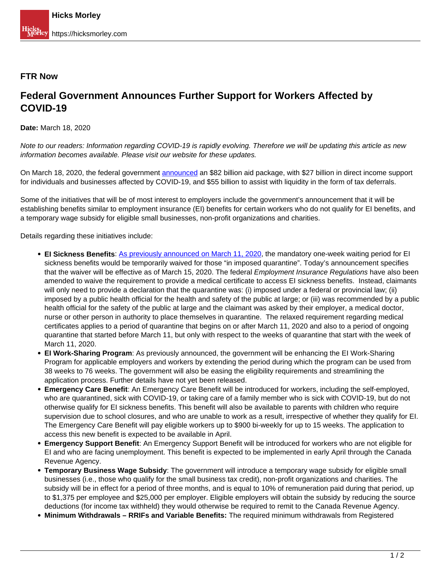## **FTR Now**

## **Federal Government Announces Further Support for Workers Affected by COVID-19**

**Date:** March 18, 2020

Note to our readers: Information regarding COVID-19 is rapidly evolving. Therefore we will be updating this article as new information becomes available. Please visit our website for these updates.

On March 18, 2020, the federal government [announced](https://www.canada.ca/en/department-finance/news/2020/03/canadas-covid-19-economic-response-plan-support-for-canadians-and-businesses.html) an \$82 billion aid package, with \$27 billion in direct income support for individuals and businesses affected by COVID-19, and \$55 billion to assist with liquidity in the form of tax deferrals.

Some of the initiatives that will be of most interest to employers include the government's announcement that it will be establishing benefits similar to employment insurance (EI) benefits for certain workers who do not qualify for EI benefits, and a temporary wage subsidy for eligible small businesses, non-profit organizations and charities.

Details regarding these initiatives include:

- **EI Sickness Benefits**: As previously announced on March 11, 2020, the mandatory one-week waiting period for EI sickness benefits would be temporarily waived for those "in imposed quarantine". Today's announcement specifies that the waiver will be effective as of March 15, 2020. The federal *Employment Insurance Regulations* have also been amended to waive the requirement to provide a medical certificate to access EI sickness benefits. Instead, claimants will only need to provide a declaration that the quarantine was: (i) imposed under a federal or provincial law; (ii) imposed by a public health official for the health and safety of the public at large; or (iii) was recommended by a public health official for the safety of the public at large and the claimant was asked by their employer, a medical doctor, nurse or other person in authority to place themselves in quarantine. The relaxed requirement regarding medical certificates applies to a period of quarantine that begins on or after March 11, 2020 and also to a period of ongoing quarantine that started before March 11, but only with respect to the weeks of quarantine that start with the week of March 11, 2020.
- **EI Work-Sharing Program**: As previously announced, the government will be enhancing the EI Work-Sharing Program for applicable employers and workers by extending the period during which the program can be used from 38 weeks to 76 weeks. The government will also be easing the eligibility requirements and streamlining the application process. Further details have not yet been released.
- **Emergency Care Benefit**: An Emergency Care Benefit will be introduced for workers, including the self-employed, who are quarantined, sick with COVID-19, or taking care of a family member who is sick with COVID-19, but do not otherwise qualify for EI sickness benefits. This benefit will also be available to parents with children who require supervision due to school closures, and who are unable to work as a result, irrespective of whether they qualify for EI. The Emergency Care Benefit will pay eligible workers up to \$900 bi-weekly for up to 15 weeks. The application to access this new benefit is expected to be available in April.
- **Emergency Support Benefit**: An Emergency Support Benefit will be introduced for workers who are not eligible for EI and who are facing unemployment. This benefit is expected to be implemented in early April through the Canada Revenue Agency.
- **Temporary Business Wage Subsidy**: The government will introduce a temporary wage subsidy for eligible small businesses (i.e., those who qualify for the small business tax credit), non-profit organizations and charities. The subsidy will be in effect for a period of three months, and is equal to 10% of remuneration paid during that period, up to \$1,375 per employee and \$25,000 per employer. Eligible employers will obtain the subsidy by reducing the source deductions (for income tax withheld) they would otherwise be required to remit to the Canada Revenue Agency.
- **Minimum Withdrawals RRIFs and Variable Benefits:** The required minimum withdrawals from Registered